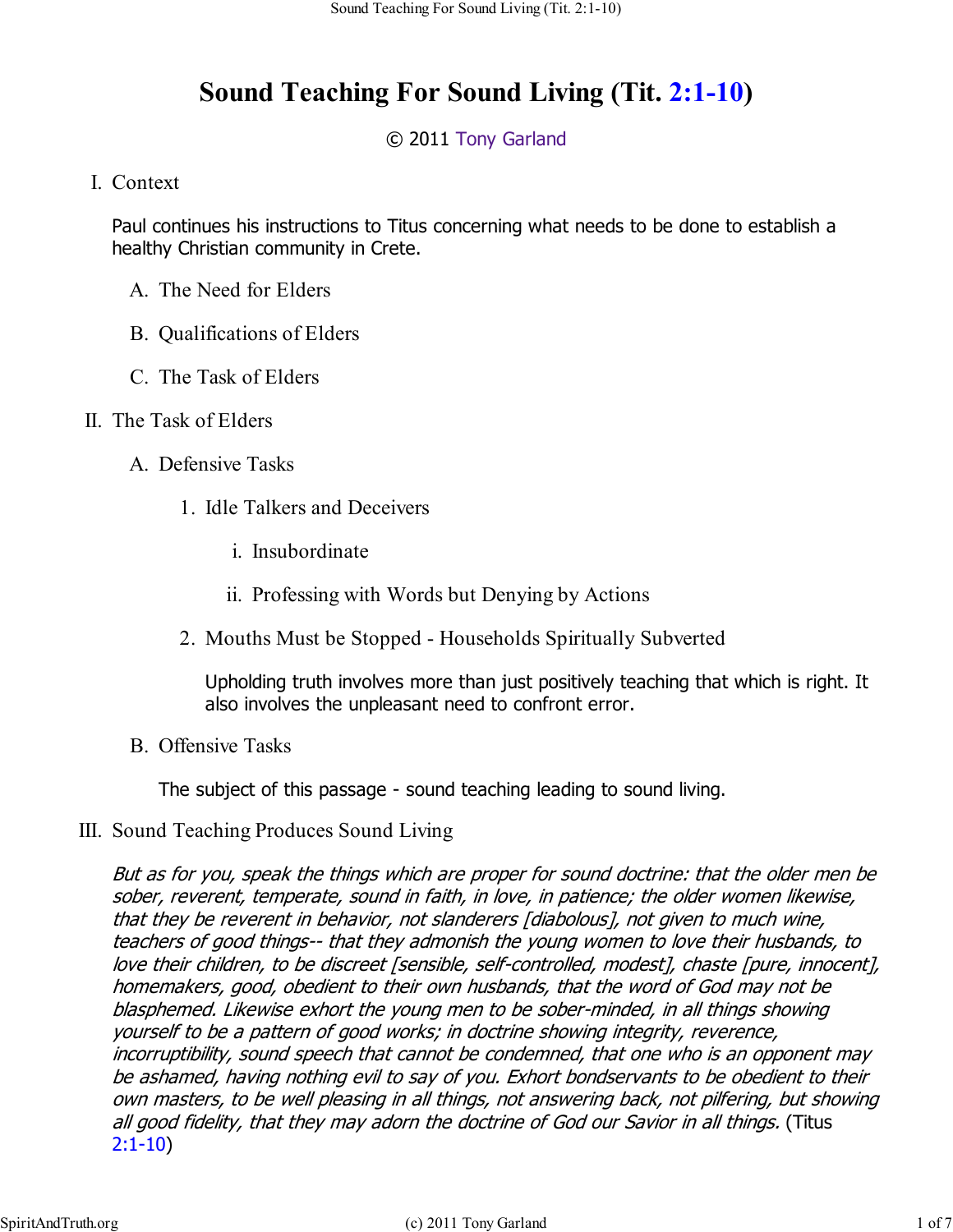## **Sound Teaching For Sound Living (Tit. 2:1-10)**

## © 2011 Tony Garland

## Context I.

Paul continues his instructions to Titus concerning what needs to be done to establish a healthy Christian community in Crete.

- A. The Need for Elders
- B. Qualifications of Elders
- C. The Task of Elders
- II. The Task of Elders
	- A. Defensive Tasks
		- 1. Idle Talkers and Deceivers
			- i. Insubordinate
			- ii. Professing with Words but Denying by Actions
		- 2. Mouths Must be Stopped Households Spiritually Subverted

Upholding truth involves more than just positively teaching that which is right. It also involves the unpleasant need to confront error.

B. Offensive Tasks

The subject of this passage - sound teaching leading to sound living.

III. Sound Teaching Produces Sound Living

But as for you, speak the things which are proper for sound doctrine: that the older men be sober, reverent, temperate, sound in faith, in love, in patience; the older women likewise, that they be reverent in behavior, not slanderers [diabolous], not given to much wine, teachers of good things-- that they admonish the young women to love their husbands, to love their children, to be discreet [sensible, self-controlled, modest], chaste [pure, innocent], homemakers, good, obedient to their own husbands, that the word of God may not be blasphemed. Likewise exhort the young men to be sober-minded, in all things showing yourself to be a pattern of good works; in doctrine showing integrity, reverence, incorruptibility, sound speech that cannot be condemned, that one who is an opponent may be ashamed, having nothing evil to say of you. Exhort bondservants to be obedient to their own masters, to be well pleasing in all things, not answering back, not pilfering, but showing all good fidelity, that they may adorn the doctrine of God our Savior in all things. (Titus 2:1-10)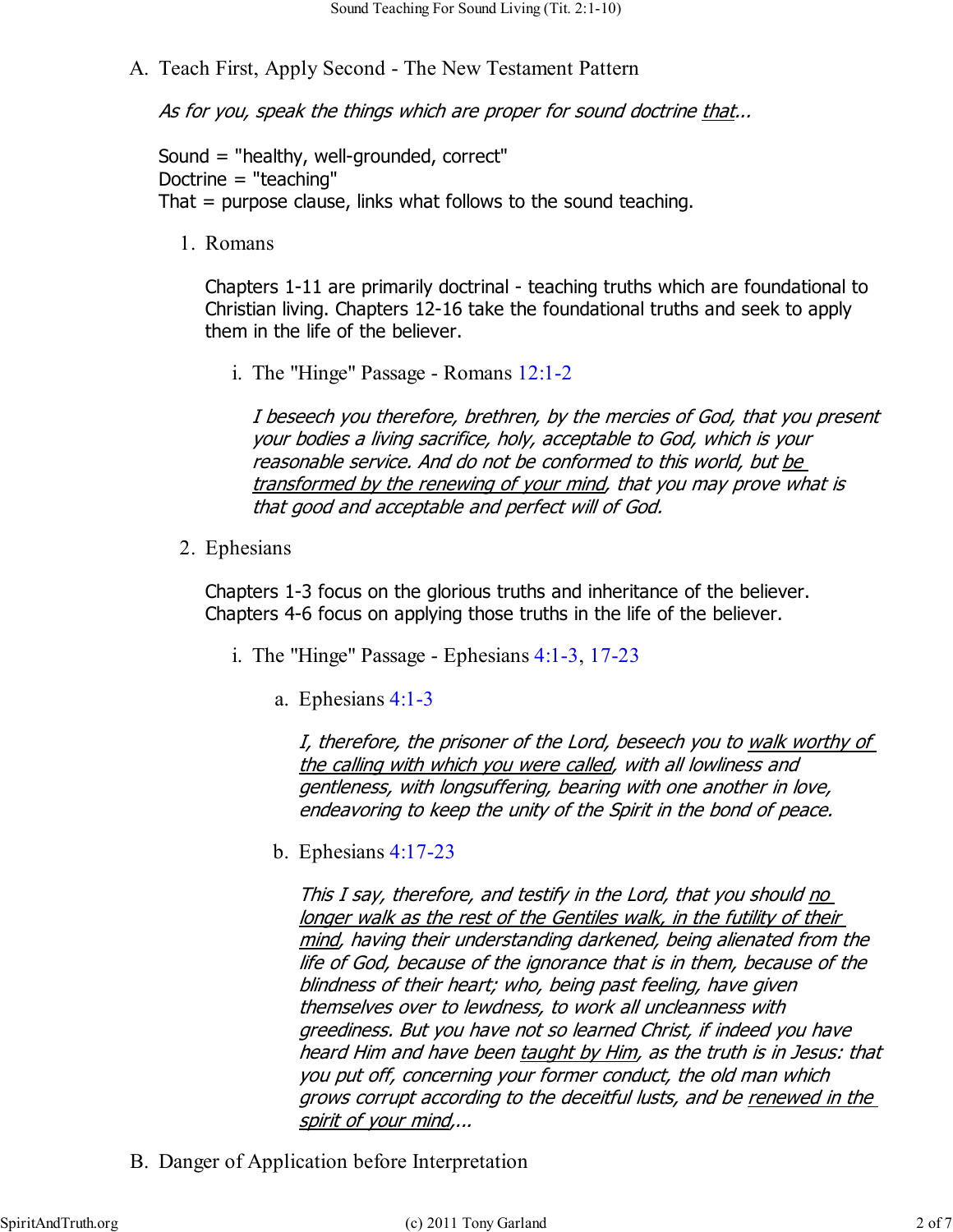A. Teach First, Apply Second - The New Testament Pattern

As for you, speak the things which are proper for sound doctrine that...

Sound = "healthy, well-grounded, correct" Doctrine = "teaching" That = purpose clause, links what follows to the sound teaching.

Romans 1.

Chapters 1-11 are primarily doctrinal - teaching truths which are foundational to Christian living. Chapters 12-16 take the foundational truths and seek to apply them in the life of the believer.

i. The "Hinge" Passage - Romans 12:1-2

I beseech you therefore, brethren, by the mercies of God, that you present your bodies a living sacrifice, holy, acceptable to God, which is your reasonable service. And do not be conformed to this world, but be transformed by the renewing of your mind, that you may prove what is that good and acceptable and perfect will of God.

2. Ephesians

Chapters 1-3 focus on the glorious truths and inheritance of the believer. Chapters 4-6 focus on applying those truths in the life of the believer.

- i. The "Hinge" Passage Ephesians  $4:1-3$ , 17-23
	- Ephesians 4:1-3 a.

I, therefore, the prisoner of the Lord, beseech you to walk worthy of the calling with which you were called, with all lowliness and gentleness, with longsuffering, bearing with one another in love, endeavoring to keep the unity of the Spirit in the bond of peace.

Ephesians 4:17-23 b.

This I say, therefore, and testify in the Lord, that you should <u>no</u> longer walk as the rest of the Gentiles walk, in the futility of their mind, having their understanding darkened, being alienated from the life of God, because of the ignorance that is in them, because of the blindness of their heart; who, being past feeling, have given themselves over to lewdness, to work all uncleanness with greediness. But you have not so learned Christ, if indeed you have heard Him and have been taught by Him, as the truth is in Jesus: that you put off, concerning your former conduct, the old man which grows corrupt according to the deceitful lusts, and be renewed in the spirit of your mind,...

B. Danger of Application before Interpretation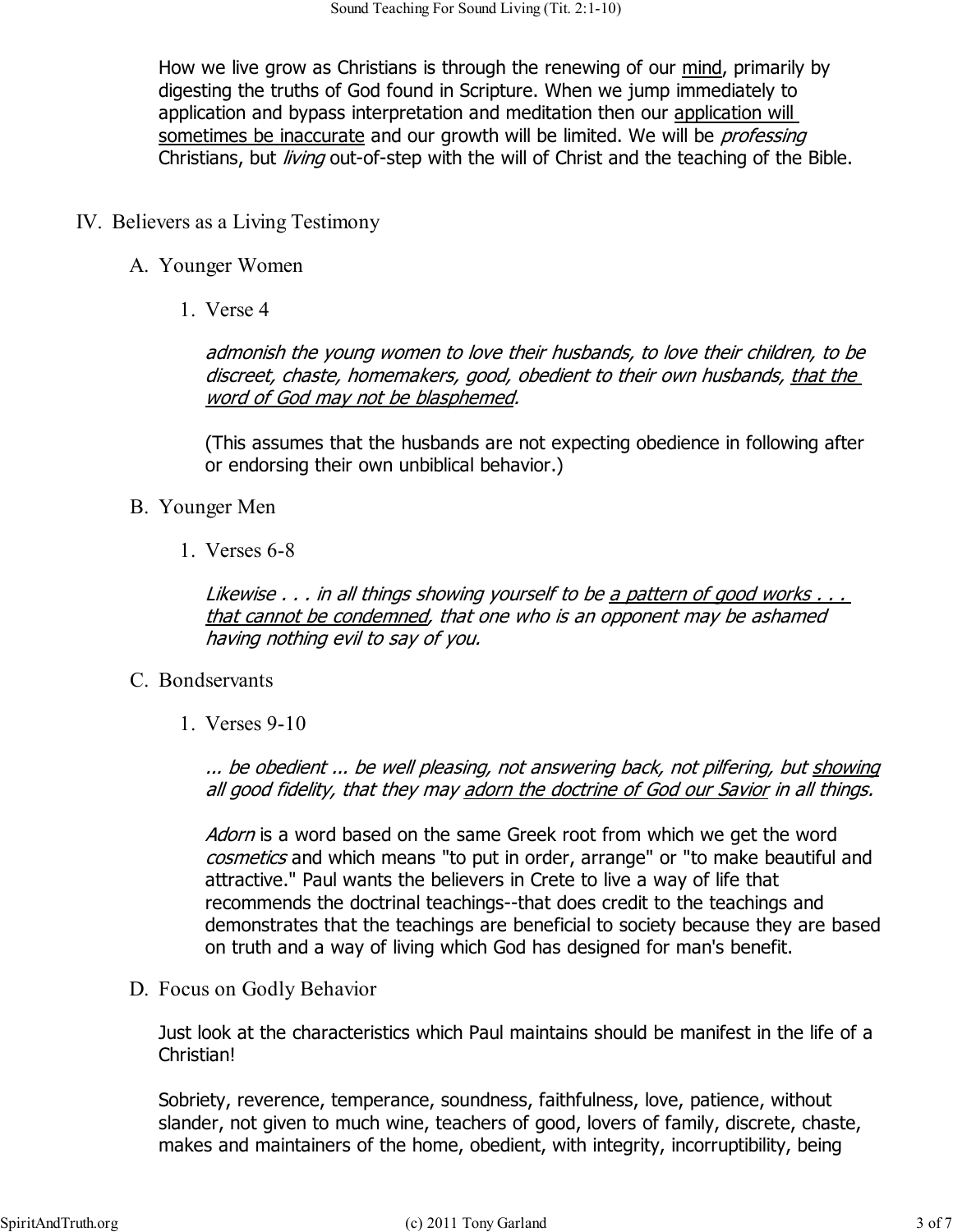How we live grow as Christians is through the renewing of our mind, primarily by digesting the truths of God found in Scripture. When we jump immediately to application and bypass interpretation and meditation then our application will sometimes be inaccurate and our growth will be limited. We will be professing Christians, but *living* out-of-step with the will of Christ and the teaching of the Bible.

- IV. Believers as a Living Testimony
	- A. Younger Women
		- Verse 4 1.

admonish the young women to love their husbands, to love their children, to be discreet, chaste, homemakers, good, obedient to their own husbands, that the word of God may not be blasphemed.

(This assumes that the husbands are not expecting obedience in following after or endorsing their own unbiblical behavior.)

- Younger Men B.
	- Verses 6-8 1.

Likewise . . . in all things showing yourself to be a pattern of good works . . . that cannot be condemned, that one who is an opponent may be ashamed having nothing evil to say of you.

- C. Bondservants
	- Verses 9-10 1.

... be obedient ... be well pleasing, not answering back, not pilfering, but showing all good fidelity, that they may adorn the doctrine of God our Savior in all things.

Adorn is a word based on the same Greek root from which we get the word cosmetics and which means "to put in order, arrange" or "to make beautiful and attractive." Paul wants the believers in Crete to live a way of life that recommends the doctrinal teachings--that does credit to the teachings and demonstrates that the teachings are beneficial to society because they are based on truth and a way of living which God has designed for man's benefit.

D. Focus on Godly Behavior

Just look at the characteristics which Paul maintains should be manifest in the life of a Christian!

Sobriety, reverence, temperance, soundness, faithfulness, love, patience, without slander, not given to much wine, teachers of good, lovers of family, discrete, chaste, makes and maintainers of the home, obedient, with integrity, incorruptibility, being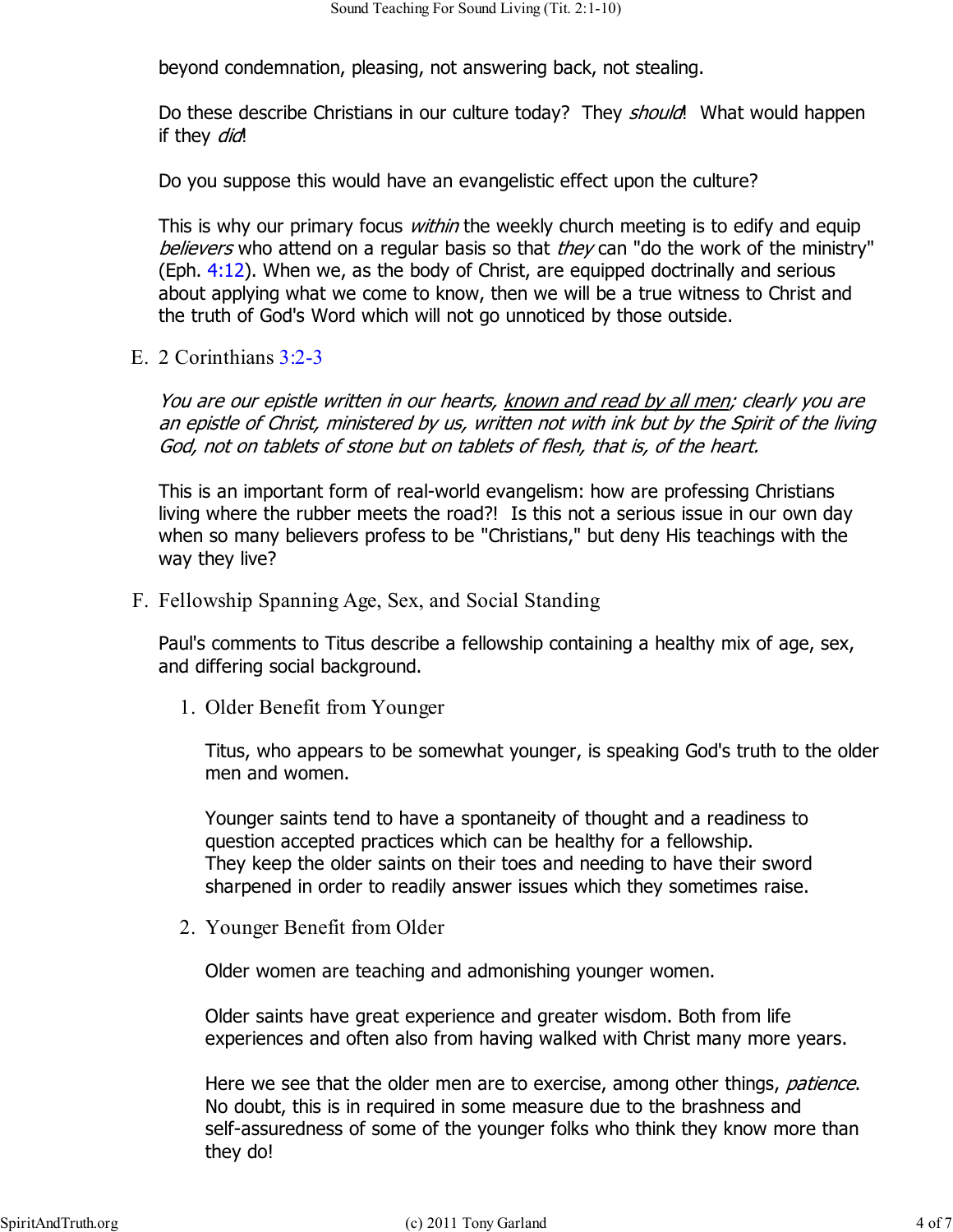beyond condemnation, pleasing, not answering back, not stealing.

Do these describe Christians in our culture today? They *should*! What would happen if they *did*!

Do you suppose this would have an evangelistic effect upon the culture?

This is why our primary focus *within* the weekly church meeting is to edify and equip believers who attend on a regular basis so that they can "do the work of the ministry" (Eph.  $4:12$ ). When we, as the body of Christ, are equipped doctrinally and serious about applying what we come to know, then we will be a true witness to Christ and the truth of God's Word which will not go unnoticed by those outside.

E. 2 Corinthians 3:2-3

You are our epistle written in our hearts, known and read by all men; clearly you are an epistle of Christ, ministered by us, written not with ink but by the Spirit of the living God, not on tablets of stone but on tablets of flesh, that is, of the heart.

This is an important form of real-world evangelism: how are professing Christians living where the rubber meets the road?! Is this not a serious issue in our own day when so many believers profess to be "Christians," but deny His teachings with the way they live?

F. Fellowship Spanning Age, Sex, and Social Standing

Paul's comments to Titus describe a fellowship containing a healthy mix of age, sex, and differing social background.

1. Older Benefit from Younger

Titus, who appears to be somewhat younger, is speaking God's truth to the older men and women.

Younger saints tend to have a spontaneity of thought and a readiness to question accepted practices which can be healthy for a fellowship. They keep the older saints on their toes and needing to have their sword sharpened in order to readily answer issues which they sometimes raise.

Younger Benefit from Older 2.

Older women are teaching and admonishing younger women.

Older saints have great experience and greater wisdom. Both from life experiences and often also from having walked with Christ many more years.

Here we see that the older men are to exercise, among other things, *patience*. No doubt, this is in required in some measure due to the brashness and self-assuredness of some of the younger folks who think they know more than they do!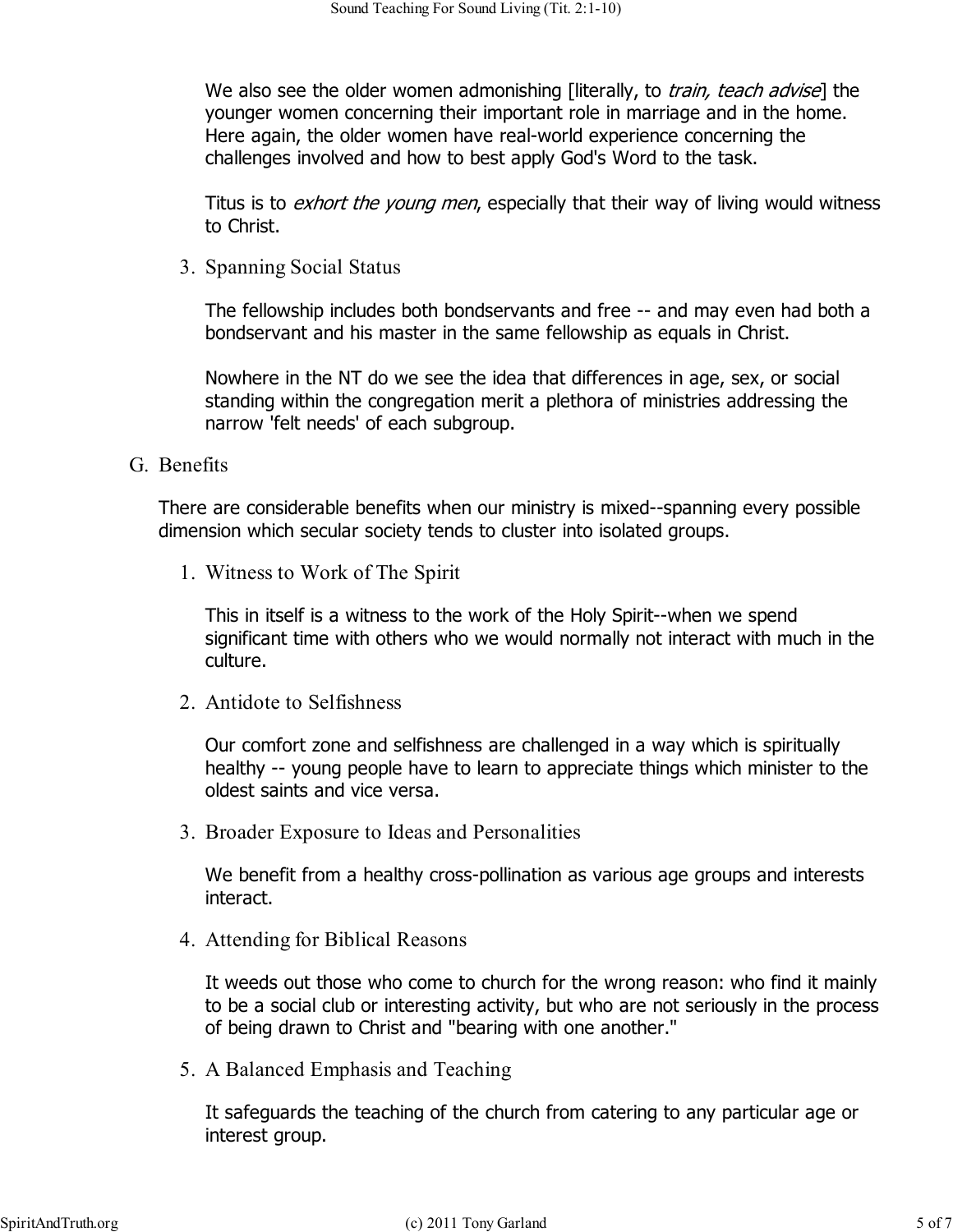We also see the older women admonishing [literally, to *train, teach advise*] the younger women concerning their important role in marriage and in the home. Here again, the older women have real-world experience concerning the challenges involved and how to best apply God's Word to the task.

Titus is to *exhort the young men*, especially that their way of living would witness to Christ.

3. Spanning Social Status

The fellowship includes both bondservants and free -- and may even had both a bondservant and his master in the same fellowship as equals in Christ.

Nowhere in the NT do we see the idea that differences in age, sex, or social standing within the congregation merit a plethora of ministries addressing the narrow 'felt needs' of each subgroup.

G. Benefits

There are considerable benefits when our ministry is mixed--spanning every possible dimension which secular society tends to cluster into isolated groups.

Witness to Work of The Spirit 1.

This in itself is a witness to the work of the Holy Spirit--when we spend significant time with others who we would normally not interact with much in the culture.

Antidote to Selfishness 2.

Our comfort zone and selfishness are challenged in a way which is spiritually healthy -- young people have to learn to appreciate things which minister to the oldest saints and vice versa.

Broader Exposure to Ideas and Personalities 3.

We benefit from a healthy cross-pollination as various age groups and interests interact.

Attending for Biblical Reasons 4.

It weeds out those who come to church for the wrong reason: who find it mainly to be a social club or interesting activity, but who are not seriously in the process of being drawn to Christ and "bearing with one another."

5. A Balanced Emphasis and Teaching

It safeguards the teaching of the church from catering to any particular age or interest group.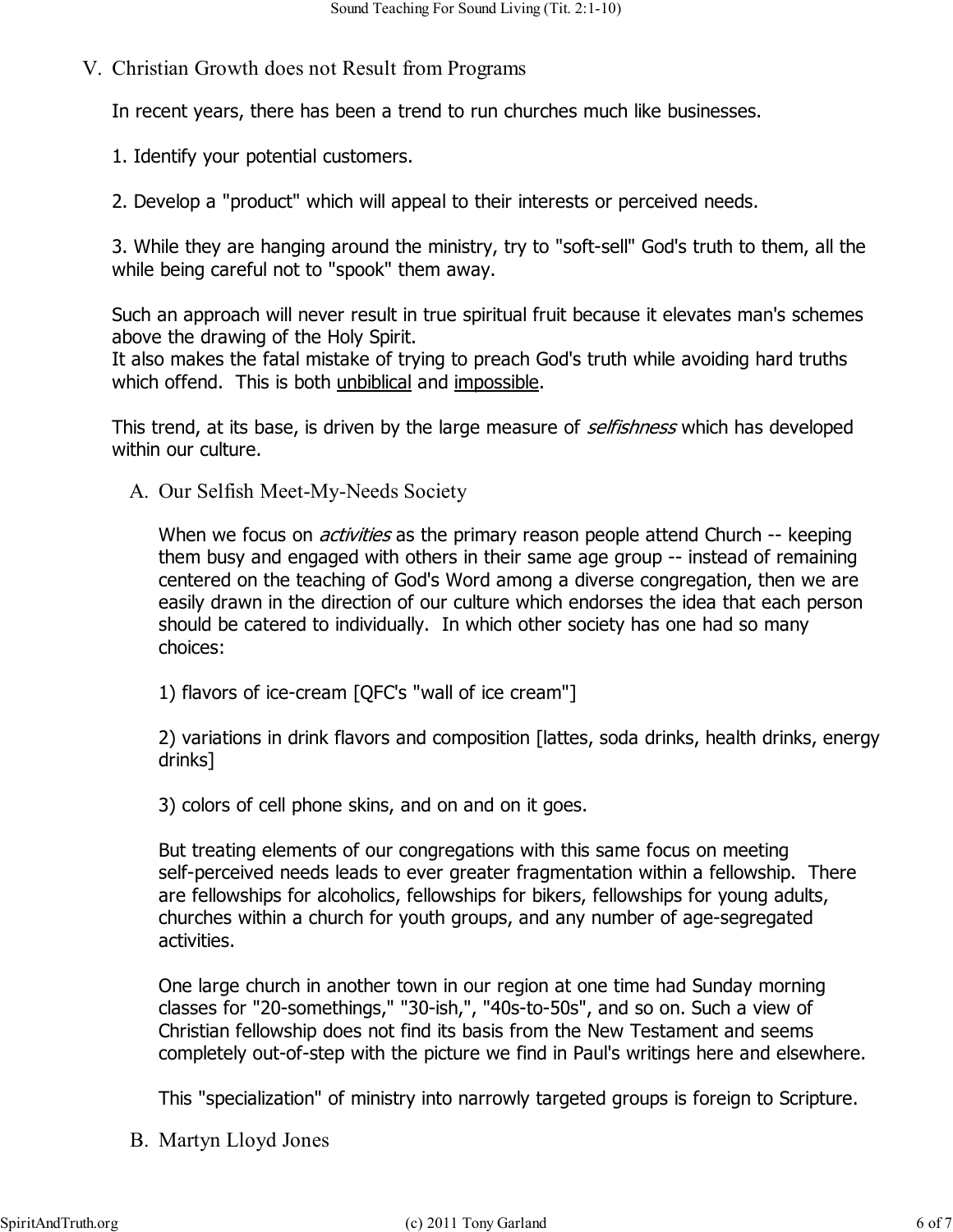V. Christian Growth does not Result from Programs

In recent years, there has been a trend to run churches much like businesses.

- 1. Identify your potential customers.
- 2. Develop a "product" which will appeal to their interests or perceived needs.

3. While they are hanging around the ministry, try to "soft-sell" God's truth to them, all the while being careful not to "spook" them away.

Such an approach will never result in true spiritual fruit because it elevates man's schemes above the drawing of the Holy Spirit.

It also makes the fatal mistake of trying to preach God's truth while avoiding hard truths which offend. This is both unbiblical and impossible.

This trend, at its base, is driven by the large measure of *selfishness* which has developed within our culture.

A. Our Selfish Meet-My-Needs Society

When we focus on *activities* as the primary reason people attend Church -- keeping them busy and engaged with others in their same age group -- instead of remaining centered on the teaching of God's Word among a diverse congregation, then we are easily drawn in the direction of our culture which endorses the idea that each person should be catered to individually. In which other society has one had so many choices:

1) flavors of ice-cream [QFC's "wall of ice cream"]

2) variations in drink flavors and composition [lattes, soda drinks, health drinks, energy drinks]

3) colors of cell phone skins, and on and on it goes.

But treating elements of our congregations with this same focus on meeting self-perceived needs leads to ever greater fragmentation within a fellowship. There are fellowships for alcoholics, fellowships for bikers, fellowships for young adults, churches within a church for youth groups, and any number of age-segregated activities.

One large church in another town in our region at one time had Sunday morning classes for "20-somethings," "30-ish,", "40s-to-50s", and so on. Such a view of Christian fellowship does not find its basis from the New Testament and seems completely out-of-step with the picture we find in Paul's writings here and elsewhere.

This "specialization" of ministry into narrowly targeted groups is foreign to Scripture.

B. Martyn Lloyd Jones